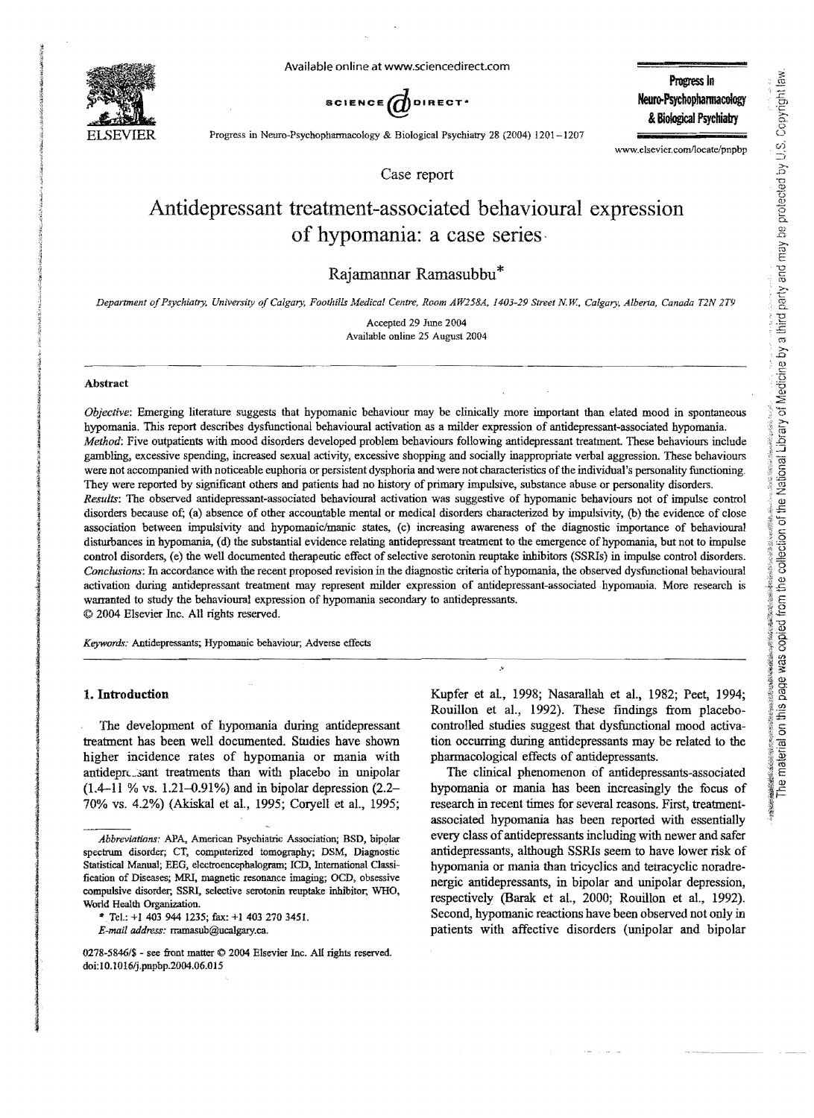

Available online at www.sdencedirect.com

SCIENCE  $\vec{d}$ DIRECT<sup>.</sup> SCIENCE **Meuro-Psychopharmacology** 

Progress In &Biological Psychiatry

Progress in Neuro-Psychopharmacology & Biological Psychiatry 28 (2004) 1201-1207

www.elsevier.com/locate/pnpbp

Case report

# Antidepressant treatment-associated behavioural expression of hypomania: a case series·

## Rajamannar Ramasubbu\*

*Department oJPsychiatry. University oJ Calgary, Foothills Medical Centre, Room AW258A, 1403-29 Street N W, Calgary, Albena, Canada T2N 2T9* 

Accepted 29 June 2004 Available online 25 August 2004

#### Abstract

*Objective:* Emerging literature suggests that hypomanic behaviour may be clinically more important than elated mood in spontaneous hypomania. This report describes dysfunctional behavioural activation as a milder expression of antidepressant-associated hypomania. *Method:* Five outpatients with mood disorders developed problem behaviours following antidepressant treatment. These behaviours include gambling, excessive spending, increased sexual activity, excessive shopping and socially inappropriate verbal aggression. These behaviours were not accompanied with noticeable euphoria or persistent dysphoria and were not characteristics ofthe individual's personality functioning. They were reported by significant others and patients had no history of primary impulsive, substance abuse or personality disorders. *Results:* The observed antidepressant-associated behavioural activation was suggestive of hypomanic behaviours not of impulse control disorders because of; (a) absence of other accountable mental or medical disorders characterized by impulsivity, (b) the evidence of close association between impulsivity and hypomanic/manic states, (c) increasing awareness of the diagnostic importance of behavioural disturbances in hypomania, (d) the substantial evidence relating antidepressant treatment to the emergence of hypomania, but not to impulse control disorders, (e) the well documented therapeutic effect of selective serotonin reuptake inhibitors (SSRIs) in impulse control disorders. *Conclusions:* In accordance with the recent proposed revision in the diagnostic criteria of hypomania, the observed dysfunctional behavioural activation during antidepressant treatment may represent milder expression of antidepressant-associated hypomania. More research is

warranted to study the behavioural expression of hypomania secondary to antidepressants. © 2004 Elsevier Inc. All rights reserved.

*Keywords:* Antidepressants; Hypomanic behaviour; Adverse effects Expwords: Antidepressants; Hypomanic behaviour; Adverse effects

## 1. Introduction

The development of hypomania during antidepressant treatment has been well documented. Studies have shown higher incidence rates of hypomania or mania with antidepressant treatments than with placebo in unipolar  $(1.4-11)$  % vs. 1.21-0.91%) and in bipolar depression  $(2.2-$ 70% vs. 4.2%) (Akiskal et al., 1995; Coryell et al., 1995;

*E-mail address:* rramasub@ucalgary.ca.

Kupfer et al., 1998; Nasarallah et aI., 1982; Peet, 1994; Rouillon et aI., 1992). These findings from placebocontrolled studies suggest that dysfunctional mood activation occurring during antidepressants may be related to the pharmacological effects of antidepressants.

The clinical phenomenon of antidepressants-associated hypomania or mania has been increasingly the focus of research in recent times for several reasons. First, treatmentassociated hypomania has been reported with essentially every class of antidepressants including with newer and safer antidepressants, although SSRls seem to have lower risk of hypomania or mania than tricyclics and tetracyclic noradrenergic antidepressants, in bipolar and unipolar depression, respectively (Barak et aI., 2000; Rouillon et aI., 1992). Second, hypomanic reactions have been observed not only in patients with affective disorders (unipolar and bipolar

*Abbreviations:* APA, American Psychiatric Association; BSD, bipolar spectrum disorder; CT, computerized tomography; DSM, Diagnostic Statistical Manual; EEG, electroencephalogram; lCD, Intemational Classification of Diseases; MRI, magnetic resonance imaging; OCD, obsessive compulsive disorder; SSRI, selective semtonin reuptake inhibitor, WHO, World Health Organization.

<sup>,.</sup> Tel.: +1403 944 1235; fax: +14032703451.

<sup>0278-5846/\$ -</sup> see front matter  $\odot$  2004 Elsevier Inc. All rights reserved. doi:lO.1016/j.pnpbp.2004.06.015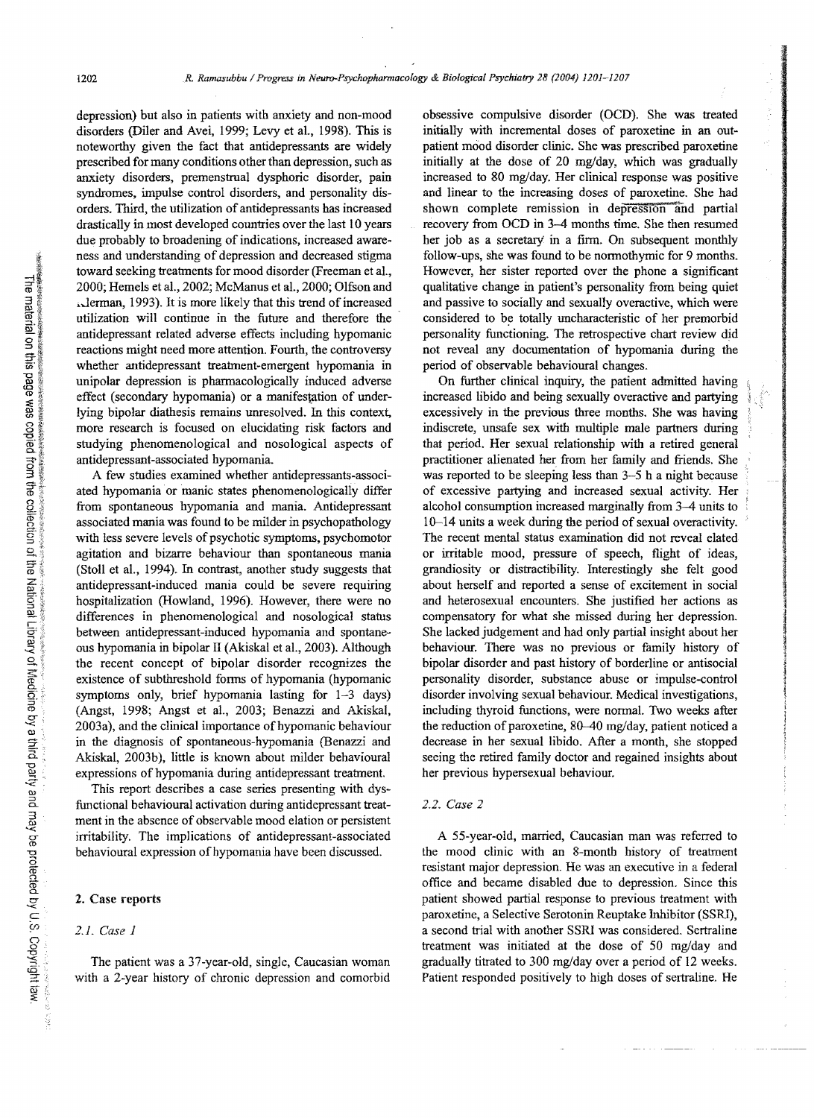depression) but also in patients with anxiety and non-mood disorders (Diler and Avei, 1999; Levy et al., 1998). This is noteworthy given the fact that antidepressants are widely prescribed for many conditions other than depression, such as anxiety disorders, premenstrual dysphoric disorder, pain syndromes, impulse control disorders, and personality disorders. Third, the utilization of antidepressants has increased drastically in most developed countries over the last 10 years due probably to broadening of indications, increased awareness and understanding of depression and decreased stigma toward seeking treatments for mood disorder (Freeman et aI., 2000; Hemels et al., 2002; McManus et al., 2000; Olfson and ~..Jerman, 1993). It is more likely that this trend of increased utilization will continue in the future and therefore the antidepressant related adverse effects including hypomanic reactions might need more attention. Fourth, the controversy whether antidepressant treatment-emergent hypomania in unipolar depression is pharmacologically induced adverse effect (secondary hypomania) or a manifestation of underlying bipolar diathesis remains unresolved. In this context, more research is focused on elucidating risk factors and studying phenomenological and nosological aspects of antidepressant-associated hypomania.

A few studies examined whether antidepressants-associated hypomania or manic states phenomenologically differ from spontaneous hypomania and mania. Antidepressant associated mania was found to be milder in psychopathology with less severe levels of psychotic symptoms, psychomotor agitation and bizarre behaviour than spontaneous mania (Stoll et aI., 1994). In contrast, another study suggests that antidepressant-induced mania could be severe requiring hospitalization (Howland, 1996). However, there were no differences in phenomenological and nosological status between antidepressant-induced hypomania and spontaneous hypomania in bipolar II (Akiskal et aI., 2003). Although the recent concept of bipolar disorder recognizes the existence of subthreshold fonns of hypomania (hypomanic symptoms only, brief hypomania lasting for 1-3 days) (Angst, 1998; Angst et aI., 2003; Benazzi and Akiskal, 2003a), and the clinical importance of hypomanic behaviour in the diagnosis of spontaneous-hypomania (Benazzi and Akiskal, 2003b), little is known about milder behavioural expressions of hypomania during antidepressant treatment.

This report describes a case series presenting with dysfunctional behavioural activation during antidcpressant treatment in the absence of observable mood elation or persistent irritability. The implications of antidepressant-associated behavioural expression of hypomania have been discussed.

## 2. Case reports

#### *2.1. Case 1*

The patient was a 37-year-old, single, Caucasian woman with a 2-year history of chronic depression and comorbid obsessive compulsive disorder (OCD). She was treated initially with incremental doses of paroxetine in an outpatient mood disorder clinic. She was prescribed paroxetine initially at the dose of 20 mg/day, which was gradually increased to 80 mg/day. Her clinical response was positive and linear to the increasing doses of paroxetine. She had shown complete remission in depreSSIOn and partial recovery from OCD in 3-4 months time. She then resumed her job as a secretary' in a finn. On subsequent monthly follow-ups, she was found to be normothymic for 9 months. However, her sister reported over the phone a significant qualitative change in patient's personality from being quiet and passive to socially and sexually overactive, which were considered to be totally uncharacteristic of her premorbid personality functioning. The retrospective chart review did not reveal any documentation of hypomania during the period of observable behavioural changes.

On further clinical inquiry, the patient admitted having increased libido and being sexually overactive and partying excessively in the previous three months. She was having indiscrete, unsafe sex with multiple male partners during that period. Her sexual relationship with a retired geneml pmctitioner alienated her from her family and friends. She was reported to be sleeping less than 3-5 h a night because of excessive partying and increased sexual aetivity. Her alcohol consumption increased marginally from 3-4 units to 10-14 units a week during the period of sexual ovemctivity. The reeent mental status examination did not reveal elated or irritable mood, pressure of speech, flight of ideas, grandiosity or distractibility. Interestingly she felt good about herself and reported a sense of excitement in social and heterosexual encounters. She justified her actions as compensatory for what she missed during her depression. She lacked judgement and had only partial insight about her behaviour. There was no previous or family history of bipolar disorder and past history of borderline or antisocial personality disorder, substance abuse or impulse-control disorder involving sexual behaviour. Medical investigations, including thyroid functions, were nonnal. Two weeks after the reduction of paroxetine, 80-40 mg/day, patient noticed a decrease in her sexual libido. After a month, she stopped seeing the retired family doctor and regained insights about her previous hypersexual behaviour.

### *2.2. Case 2*

A 55-year-old, married, Caucasian man was referred to the mood clinic with an 8-month history of treatment resistant major depression. He was an executive in a fedeml office and became disabled due to depression. Since this patient showed partial response to previous treatment with paroxetine, a Selective Serotonin Reuptake Inhibitor (SSRl), a second trial with another SSRl was considered. Sertraline treatment was initiated at the dose of 50 mg/day and gradually titrated to 300 mg/day over a period of 12 weeks. Patient responded positively to high doses of sertraline. He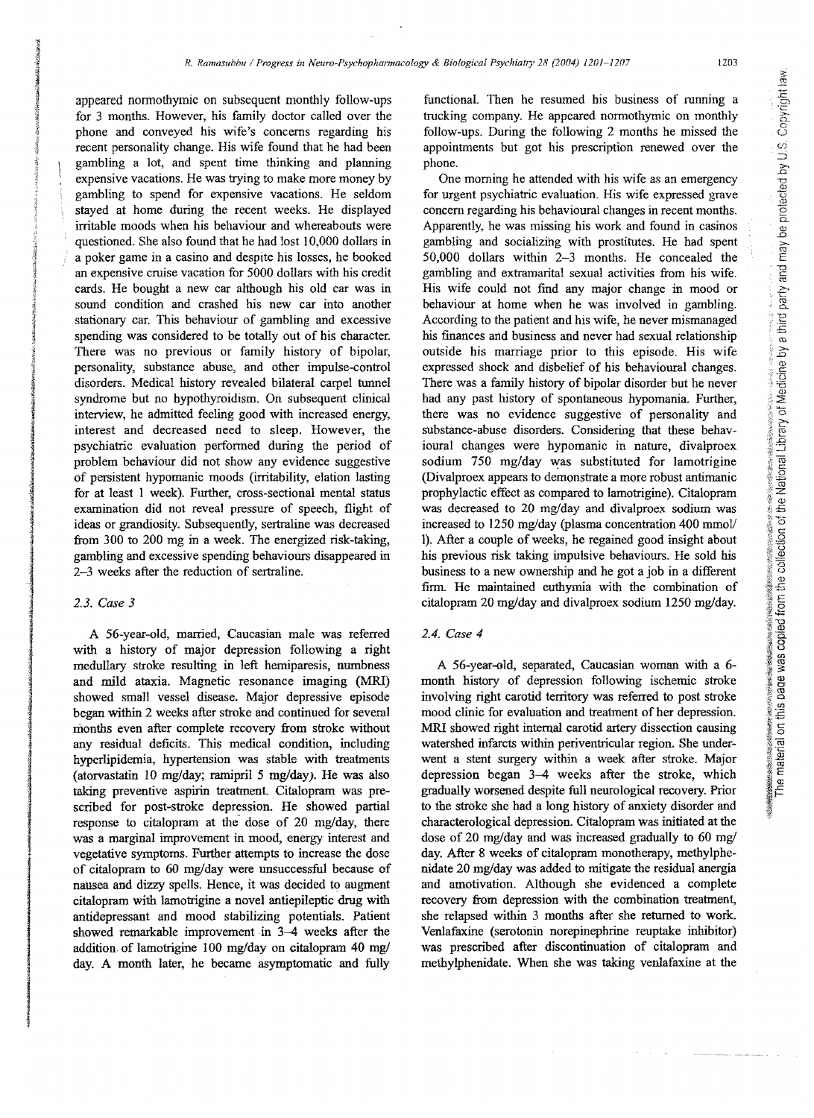appeared normothymic on subsequent monthly follow-ups for 3 months. However, his family doctor called over the phone and conveyed his wife's concerns regarding his recent personality change. His wife found that he had been gambling a lot, and spent time thinking and planning expensive vacations. He was trying to make more money by gambling to spend for expensive vacations. He seldom stayed at home during the recent weeks. He displayed irritable moods when his behaviour and whereabouts were questioned. She also found that he had lost 10,000 dollars in a poker game in a casino and despite his losses, he booked an expensive cruise vacation for 5000 dollars with his credit cards. He bought a new car although his old car was in sound condition and crashed his new car into another stationary car. This behaviour of gambling and excessive spending was considered to be totally out of his character. There was no previous or family history of bipolar, personality, substance abuse, and other impulse-control disorders. Medical history revealed bilateral carpel tunnel syndrome but no hypothyroidism. On subsequent clinical interview, he admitted feeling good with increased energy, interest and decreased need to sleep. However, the psychiatric evaluation performed during the period of problem behaviour did not show any evidence suggestive of persistent hypomanic moods (irritability, elation lasting for at least I week). Further, cross-sectional mental status examination did not reveal pressure of speech, flight of ideas or grandiosity. Subsequently, sertraline was decreased from 300 to 200 mg in a week. The energized risk-taking, gambling and excessive spending behaviours disappeared in 2-3 weeks after the reduction of sertraline.

## *2.3. Case 3*

A 56-year-old, married, Caucasian male was referred with a history of major depression following a right medullary stroke resulting in left hemiparesis, numbness and mild ataxia. Magnetic resonance imaging (MRI) showed small vessel disease. Major depressive episode began within 2 weeks after stroke and continued for several months even after complete recovery from stroke without any residual deficits. This medical condition, including hyperlipidemia, hypertension was stable with treatments (atorvastatin 10 mg/day; ramipril 5 mg/day). He was also taking preventive aspirin treatment. Citalopram was prescribed for post-stroke depression. He showed partial response to citalopram at the dose of 20 mg/day, there was a marginal improvement in mood, energy interest and vegetative symptoms. Further attempts to increase the dose of citalopram to 60 mg/day were unsuccessful because of nausea and dizzy spells. Hence, it was decided to augment citalopram with lamotrigine a novel antiepileptic drug with antidepressant and mood stabilizing potentials. Patient showed remarkable improvement in 3-4 weeks after the addition of lamotrigine 100 mg/day on citalopram 40 mg/ day. A month later, he became asymptomatic and fully

functional. Then he resumed his business of running a trucking company. He appeared normothymic on monthly follow-ups. During the following 2 months he missed the appointments but got his prescription renewed over the phone.

One morning he attended with his wife as an emergency for urgent psychiatric evaluation. His wife expressed grave concern regarding his behavioural changes in recent months. Apparently, he was missing his work and found in casinos gambling and socializing with prostitutes. He had spent 50,000 dollars within 2-3 months. He concealed the gambling and extramarital sexual activities from his wife. His wife could not find any major change in mood or behaviour at home when he was involved in gambling. According to the patient and his wife, he never mismanaged his ffiances and business and never had sexual relationship outside his marriage prior to this episode. His wife expressed shock and disbelief of his behavioural changes. There was a family history of bipolar disorder but he never had any past history of spontaneous hypomania. Further, there was no evidence suggestive of personality and substance-abuse disorders. Considering that these behavioural changes were hypomanic in nature, divalproex sodium 750 mg/day was substituted for lamotrigine (Divalproex appears to demonstrate a more robust antimanic prophylactic effect as compared to lamotrigine). Citalopram was decreased to 20 mg/day and divalproex sodium was increased to 1250 mg/day (plasma concentration 400 mmol/ I). After a couple of weeks, he regained good insight about his previous risk taking impulsive behaviours. He sold his business to a new ownership and he got a job in a different firm. He maintained euthyrnia with the combination of citalopram 20 mg/day and divalproex sodium 1250 mg/day.

## *2.4. Case 4*

A 56-year-old, separated, Caucasian woman with a 6 month history of depression following ischemic stroke involving right carotid territory was referred to post stroke mood clinic for evaluation and treatment of her depression. MRI showed right internal carotid artery dissection causing watershed infarcts within periventricular region. She underwent a stent surgery within a week after stroke. Major depression began 3-4 weeks after the stroke, which gradually worsened despite full neurological recovery. Prior to the stroke she had a long history of anxiety disorder and characterological depression. Citalopram was initiated at the dose of 20 mg/day and was increased gradually to 60 mg/ day. After 8 weeks of citalopram monotherapy, methylphenidate 20 mg/day was added to mitigate the residual anergia and amotivation. Although she evidenced a complete recovery from depression with the combination treatment, she relapsed within 3 months after she returned to work. Venlafaxine (serotonin norepinephrine reuptake inhibitor) was prescribed after discontinuation of citalopram and methylphenidate. When she was taking venlafaxine at the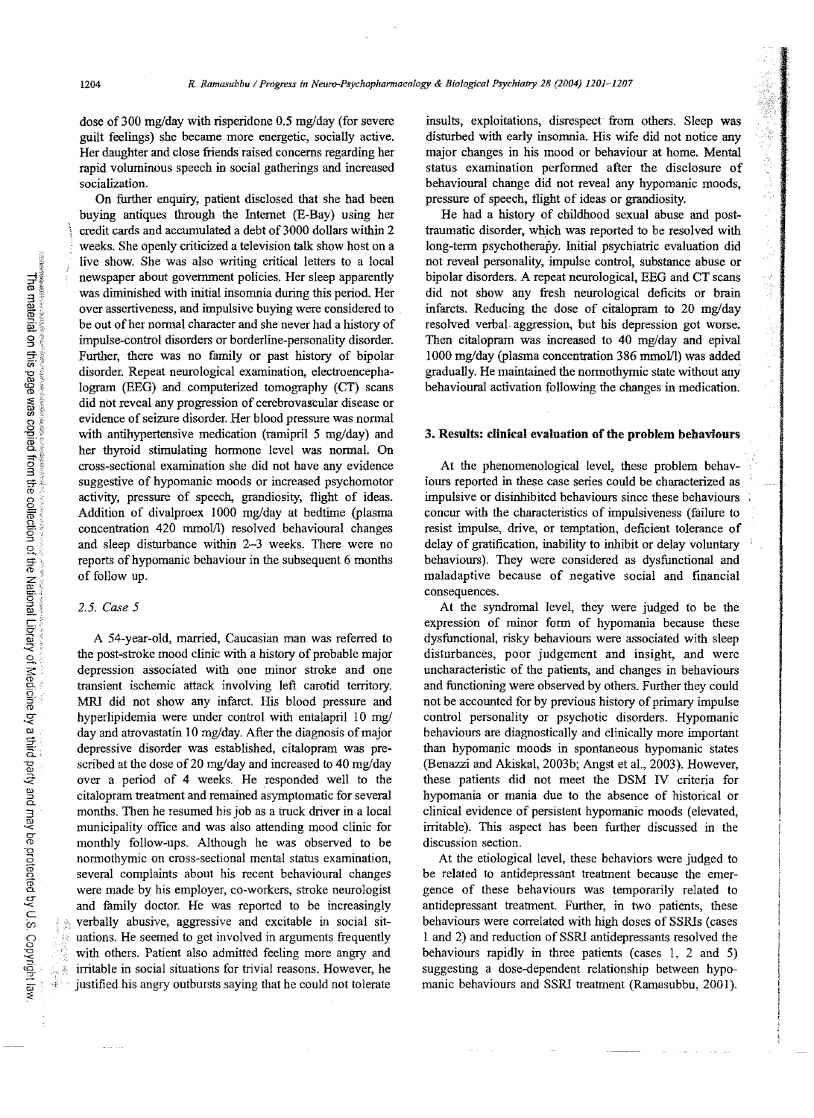dose of 300 mg/day with risperidone 0.5 mg/day (for severe guilt feelings) she became more energetic, socially active. Her daughter and close friends raised concerns regarding her rapid voluminous speech in social gatherings and increased socialization.

On further enquiry, patient disclosed that she had been buying antiques through the Internet (E-Bay) using her credit cards and accumulated a debt of 3000 dollars within 2 weeks. She openly criticized a television talk show host on a live show. She was also writing critical letters to a local newspaper about government policies. Her sleep apparently was diminished with initial insomnia during this period. Her over assertiveness, and impulsive buying were considered to be out of her normal character and she never had a history of impulse-control disorders or borderline-personality disorder. Further, there was no family or past history of bipolar disorder. Repeat neurological examination, electroencephalogram (BEG) and computerized tomography (CT) scans did not reveal any progression of cerebrovascular disease or evidence of seizure disorder. Her blood pressure was normal with antihypertensive medication (ramipril 5 mg/day) and her thyroid stimulating hormone level was normaL On cross-sectional examination she did not have any evidence suggestive of hypomanic moods or increased psychomotor activity, pressure of speech, grandiosity, flight of ideas. Addition of divalproex 1000 mg/day at bedtime (plasma concentration 420 mmol/l) resolved behavioural changes and sleep disturbance within 2-3 weeks. There were no reports of hypomanic behaviour in the subsequent 6 months of follow up.

## *2.5. Case 5*

A 54-year-old, married, Caucasian man was referred to the post-stroke mood clinic with a history of probable major depression associated with one minor stroke and one transient ischemic attack involving left carotid territory. MRI did not show any infarct. His blood pressure and hyperlipidemia were under control with entalapril 10 mg/ day and atrovastatin 10 mg/day. After the diagnosis of major depressive disorder was established, citalopram was prescribed at the dose of 20 mg/day and increased to 40 mg/day over a period of 4 weeks. He responded well to the citalopram treatment and remained asymptomatic for several months. Then he resumed his job as a truck driver in a local municipality office and was also attending mood clinic for monthly follow-ups. Although he was observed to be normothymic on cross-sectional mental status examination, several complaints about his recent behavioural changes were made by his employer, co-workers, stroke neurologist and family doctor. He was reported to be increasingly verbally abusive, aggressive and excitable in social situations. He seemed to get involved in arguments frequently with others. Patient also admitted feeling more angry and irritable in social situations for trivial reasons. However, he justified his angry outbursts saying that he could not tolerate

insults, exploitations, disrespect from others. Sleep was disturbed with early insomnia. His wife did not notice any major changes in his mood or behaviour at home. Mental status examination performed after the disclosure of behavioural change did not reveal any hypomanic moods, pressure of speech, flight of ideas or grandiosity.

「後継はの後のことには

He had a history of childhood sexual abuse and posttraumatic disorder, which was reported to be resolved with long-term psychotherapy. Initial psychiatric evaluation did not reveal personality, impulse control, substance abuse or bipolar disorders. A repeat neurological, EEG and CT scans did not show any fresh neurological deficits or brain infarcts. Reducing the dose of citalopram to 20 mg/day resolved verbal. aggression, but his depression got worse. Then citalopram was increased to 40 mg/day and epival 1000 mg/day (plasma concentration 386 mmolfl) was added gradually. He maintained the normothymic state without any behavioural activation following the changes in medication.

## 3. Results: clinical evaluation of the problem behaviours

At the phenomenological level, these problem behaviours reported in these case series could be characterized as impulsive or disinhibited behaviours since these behaviours concur with the characteristics of impulsiveness (failure to resist impulse, drive, or temptation, deficient tolerance of delay of gratification, inability to inhibit or delay voluntary behaviours). They were considered as dysfunctional and maladaptive because of negative social and financial consequences.

At the syndromal level, they were judged to be the expression of minor form of hypomania because these dysfunctional, risky behaviours were associated with sleep disturbances, poor judgement and insight, and were uncharacteristic of the patients, and changes in behaviours and functioning were observed by others. Further they could not be accounted for by previous history of primary impulse control personality or psychotic disorders. Hypomanic behaviours are diagnostically and clinically more important than hypomanic moods in spontaneous hypomanic states (Benazzi and Akiskal, 2003b; Angst et al., 2003). However, these patients did not meet the DSM IV criteria for hypomania or mania due to the absence of historical or clinical evidence of persistent hypomanic moods (elevated, irritable). This aspect has been further discussed in the discussion section.

At the etiological level, these behaviors were judged to be related to antidepressant treatment because the emergence of these behaviours was temporarily related to antidepressant treatment. Further, in two patients, these behaviours were correlated with high doses of SSRIs (cases 1 and 2) and reduction of SSRI antidepressants resolved the behaviours rapidly in three patients (cases I, 2 and 5) suggesting a dose-dependent relationship between hypomanic behaviours and SSRI treatment (Ramasubbu, 2001).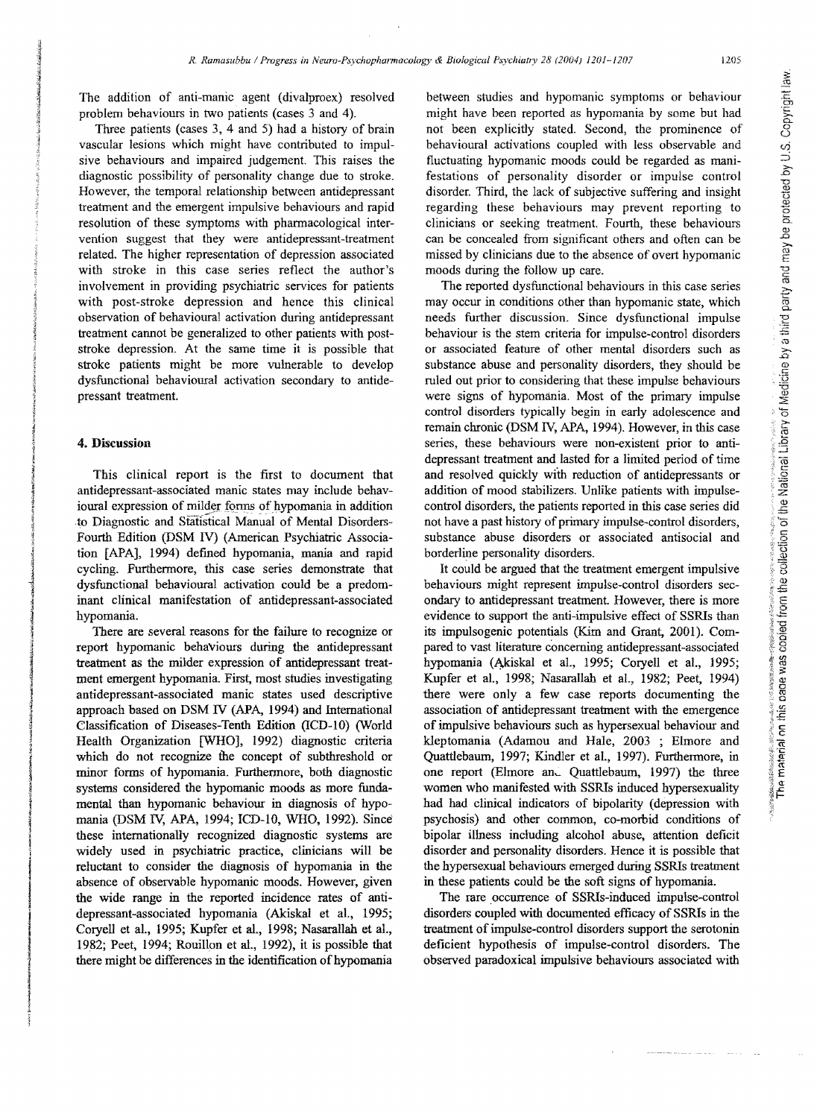The addition of anti-manic agent (divalproex) resolved problem behaviours in two patients (cases 3 and 4).

Three patients (cases 3, 4 and 5) had a history of brain vascular lesions which might have contributed to impulsive behaviours and impaired judgement. This raises the diagnostic possibility of personality change due to stroke. However, the temporal relationship between antidepressant treatment and the emergent impulsive behaviours and rapid resolution of these symptoms with pharmacological intervention suggest that they were antidepressant-treatment related. The higher representation of depression associated with stroke in this case series reflect the author's involvement in providing psychiatric services for patients with post-stroke depression and hence this clinical observation of behavioural activation during antidepressant treatment cannot be generalized to other patients with poststroke depression. At the same time it is possible that stroke patients might be more vulnerable to develop dysfunctional behavioural activation secondary to antidepressant treatment.

## 4. Discussion

This clinical report is the first to document that antidepressant-associated manic states may include behavioural expression of milder forms of hypomania in addition to Diagnostic and Statistical Manual of Mental Disorders-Fourth Edition (DSM IV) (American Psychiatric Association [APAJ, 1994) defined hypomania, mania and rapid cycling. Furthermore, this case series demonstrate that dysfunctional behavioural activation could be a predominant clinical manifestation of antidepressant-associated hypomania.

There are several reasons for the failure to recognize or report hypomanic behaviours during the antidepressant treatment as the milder expression of antidepressant treatment emergent hypomania. First, most studies investigating antidepressant-associated manic states used descriptive approach based on DSM IV (APA, 1994) and International Classification of Diseases-Tenth Edition (lCD-lO) (World Health Organization [WHO], 1992) diagnostic criteria which do not recognize the concept of subthreshold or minor forms of hypomania. Furthermore, both diagnostic systems considered the hypomanic moods as more fundamental than hypomanic behaviour in diagnosis of hypomania (DSM IV, APA, 1994; ICD-lO, WHO, 1992). Since these internationally recognized diagnostic systems are widely used in psychiatric practice, clinicians will be reluctant to consider the diagnosis of hypomania in the absence of observable hypomanic moods. However, given the wide range in the reported incidence rates of antidepressant-associated hypomania (Akiskal et aI., 1995; Coryell et al., 1995; Kupfer et al., 1998; Nasarallah et al., 1982; Peet, 1994; Rouillon et aI., 1992), it is possible that there might be differences in the identification of hypomania

between studies and hypomanic symptoms or behaviour might have been reported as hypomania by some but had not been explicitly stated. Second, the prominence of behavioural activations coupled with less observable and fluctuating hypomanic moods could be regarded as manifestations of personality disorder or impulse control disorder. Third, the lack of subjective suffering and insight regarding these behaviours may prevent reporting to clinicians or seeking treatment. Fourth, these behaviours can be concealed from significant others and often can be missed by clinicians due to the absence of overt hypomanic moods during the follow up care.

The reported dysfunctional behaviours in this case series may occur in conditions other than hypomanic state, which needs further discussion. Since dysfunctional impulse behaviour is the stem criteria for impulse-control disorders or associated feature of other mental disorders such as substance abuse and personality disorders, they should be ruled out prior to considering that these impulse behaviours were signs of hypomania. Most of the primary impulse control disorders typically begin in early adolescence and remain chronic (DSM N, APA, 1994). However, in this case series, these behaviours were non-existent prior to antidepressant treatment and lasted for a limited period of time and resolved quickly with reduction of antidepressants or addition of mood stabilizers. Unlike patients with impulsecontrol disorders, the patients reported in this case series did not have a past history of primary impulse-control disorders, substance abuse disorders or associated antisocial and borderline personality disorders.

It could be argued that the treatment emergent impulsive behaviours might represent impulse-control disorders secondary to antidepressant treatment. However, there is more evidence to support the anti-impulsive effect of SSRIs than its impulsogenic potentials (Kim and Grant, 2001). Compared to vast literature concerning antidepressant-associated hypomania (Akiskal et aL, 1995; Coryell et aI., 1995; Kupfer et aI., 1998; Nasarallah et aI., 1982; Peet, 1994) there were only a few case reports documenting the association of antidepressant treatment with the emergence of impulsive behaviours such as hypersexual behaviour and kleptomania (Adamou and Hale, 2003 ; Elmore and Quattlebaum, 1997; Kindler et aI., 1997). Furthermore, in one report (Elmore an, Quattlebaum, 1997) the three women who manifested with SSRIs induced hypersexuality had had clinical indicators of bipolarity (depression with psychosis) and other common, co-morbid conditions of bipolar illness including alcohol abuse, attention deficit disorder and personality disorders. Hence it is possible that the hypersexual behaviours emerged during SSRIs treatment in these patients could be the soft signs of hypomania.

The rare occurrence of SSRIs-induced impulse-control disorders coupled with documented efficacy of SSRIs in the treatment of impulse--control disorders support the serotonin deficient hypothesis of impulse-control disorders. The observed paradoxical impUlsive behaviours associated with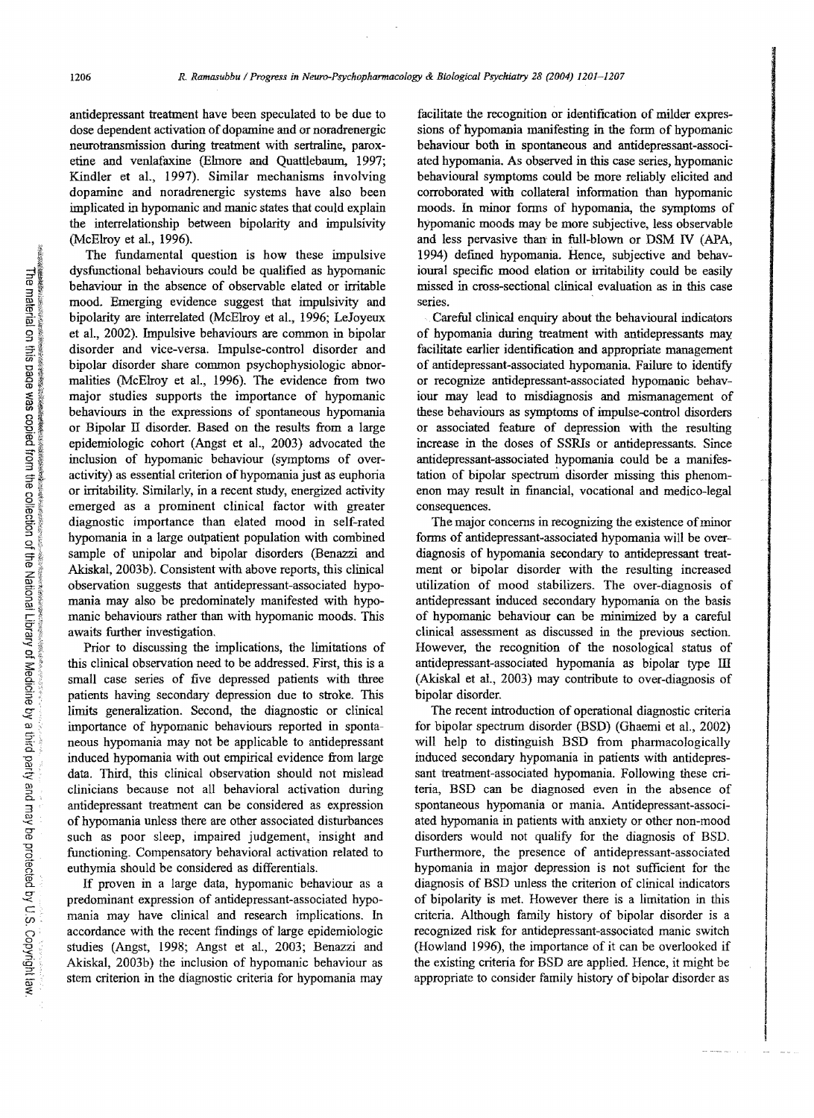antidepressant treatment have been speculated to be due to dose dependent activation of dopamine and or noradrenergic neurotransmission during treatment with sertraline, paroxetine and venlafaxine (Elmore and Quattlebaum, 1997; Kindler et aI., 1997). Similar mechanisms involving dopamine and noradrenergic systems have also been implicated in hypomanic and manic states that could explain the interrelationship between bipolarity and impulsivity (McElroy et al., 1996).

The fundamental question is how these impulsive dysfunctional behaviours could be qualified as hypomanic behaviour in the absence of observable elated or irritable mood. Emerging evidence suggest that impulsivity and bipolarity are interrelated (McElroy et al., 1996; LeJoyeux et al., 2002). Impulsive behaviours are common in bipolar disorder and vice-versa. Impulse-control disorder and bipolar disorder share common psychophysiologic abnormalities (McElroy et al., 1996). The evidence from two major studies supports the importance of hypomanic behaviours in the expressions of spontaneous hypomania or Bipolar II disorder. Based on the results from a large epidemiologic cohort (Angst et al., 2003) advocated the inclusion of hypomanic behaviour (symptoms of overactivity) as essential criterion of hypomania just as euphoria or irritability. Similarly, in a recent study, energized activity emerged as a prominent clinical factor with greater diagnostic importance than elated mood in self-rated hypomania in a large outpatient population with combined sample of unipolar and bipolar disorders (Benazzi and Akiskal, 2003b). Consistent with above reports, this clinical observation suggests that antidepressant-associated hypomania may also be predominately manifested with hypomanic behaviours rather than with hypomanic moods. This awaits further investigation.

Prior to discussing the implications, the limitations of this clinical observation need to be addressed. First, this is a small case series of five depressed patients with three patients having secondary depression due to stroke. This limits generalization. Second, the diagnostic or clinical importance of hypomanic behaviours reported in spontaneous hypomania may not be applicable to antidepressant induced hypomania with out empirical evidence from large data. Third, this clinical observation should not mislead clinicians because not all behavioral activation during antidepressant treatment can be considered as expression of hypomania unless there are other associated disturbances such as poor sleep, impaired judgement, insight and functioning. Compensatory behavioral activation related to euthymia should be considered as differentials.

If proven in a large data, hypomanic behaviour as a predominant expression of antidepressant-associated hypomania may have clinical and research implications. In accordance with the recent fmdings of large epidemiologic studies (Angst, 1998; Angst et al., 2003; Benazzi and Akiskal, 2003b) the inclusion of hypomanic behaviour as stem criterion in the diagnostic criteria for hypomania may

facilitate the recognition or identification of milder expressions of hypomania manifesting in the form of hypomanic behaviour both in spontaneous and antidepressant-associated hypomania. As observed in this case series, hypomanic behavioural symptoms could be more reliably elicited and corroborated with collateral infonnation than hypomanic moods. In minor forms of hypomania, the symptoms of hypomanic moods may be more subjective, less observable and less pervasive than in full-blown or DSM IV (APA, 1994) defined hypomania. Hence, subjective and behavioural specific mood elation or irritability could be easily missed in cross-sectional clinical evaluation as in this case series.

Careful clinical enquiry about the behavioural indicators of hypomania during treatment with antidepressants may. facilitate earlier identification and appropriate management of antidepressant-associated hypomania. Failure to identifY or recognize antidepressant-associated hypomanic behaviour may lead to misdiagnosis and mismanagement of these behaviours as symptoms of impulse-control disorders or associated feature of depression with the resulting increase in the doses of SSRIs or antidepressants. Since antidepressant-associated hypomania could be a manifestation of bipolar spectruni disorder missing this phenomenon may result in financial, vocational and medico-legal consequences.

The major concerns in recognizing the existence of minor forms of antidepressant-associated hypomania will be overdiagnosis of hypomania secondary to antidepressant treatment or bipolar disorder with the resulting increased utilization of mood stabilizers. The over-diagnosis of antidepressant induced secondary hypomania on the basis of hypomanic behaviour can be minimized by a careful clinical assessment as discussed in the previous section. However, the recognition of the nosological status of antidepressant-associated hypomania as bipolar type ill (Akiskal et al., 2003) may contribute to over-diagnosis of bipolar disorder.

The recent introduction of operational diagnostic criteria for bipolar spectrum disorder (BSD) (Ghaemi et aI., 2002) will help to distinguish BSD from pharmacologically induced secondary hypomania in patients with antidepressant treatment-associated hypomania. Following these criteria, BSD can be diagnosed even in the absence of spontaneous hypomania or mania. Antidepressant-associated hypomania in patients with anxiety or other non-mood disorders would not qualify for the diagnosis of BSD. Furthermore, the presence of antidepressant-associated hypomania in major depression is not sufficient for the diagnosis of BSD unless the criterion of clinical indicators of bipolarity is met. However there is a limitation in this criteria. Although family history of bipolar disorder is a recognized risk for antidepressant-associated manic switch (Howland 1996), the importance of it can be overlooked if the existing criteria for BSD are applied. Hence, it might be appropriate to consider family history of bipolar disorder as